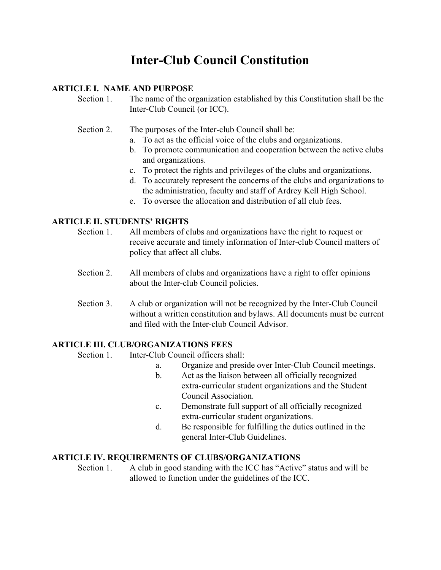# **Inter-Club Council Constitution**

#### **ARTICLE I. NAME AND PURPOSE**

Section 1. The name of the organization established by this Constitution shall be the Inter-Club Council (or ICC).

- Section 2. The purposes of the Inter-club Council shall be:
	- a. To act as the official voice of the clubs and organizations.
	- b. To promote communication and cooperation between the active clubs and organizations.
	- c. To protect the rights and privileges of the clubs and organizations.
	- d. To accurately represent the concerns of the clubs and organizations to the administration, faculty and staff of Ardrey Kell High School.
	- e. To oversee the allocation and distribution of all club fees.

## **ARTICLE II. STUDENTS' RIGHTS**

- Section 1. All members of clubs and organizations have the right to request or receive accurate and timely information of Inter-club Council matters of policy that affect all clubs.
- Section 2. All members of clubs and organizations have a right to offer opinions about the Inter-club Council policies.
- Section 3. A club or organization will not be recognized by the Inter-Club Council without a written constitution and bylaws. All documents must be current and filed with the Inter-club Council Advisor.

#### **ARTICLE III. CLUB/ORGANIZATIONS FEES**

Section 1. Inter-Club Council officers shall:

- a. Organize and preside over Inter-Club Council meetings.
- b. Act as the liaison between all officially recognized extra-curricular student organizations and the Student Council Association.
- c. Demonstrate full support of all officially recognized extra-curricular student organizations.
- d. Be responsible for fulfilling the duties outlined in the general Inter-Club Guidelines.

#### **ARTICLE IV. REQUIREMENTS OF CLUBS/ORGANIZATIONS**

Section 1. A club in good standing with the ICC has "Active" status and will be allowed to function under the guidelines of the ICC.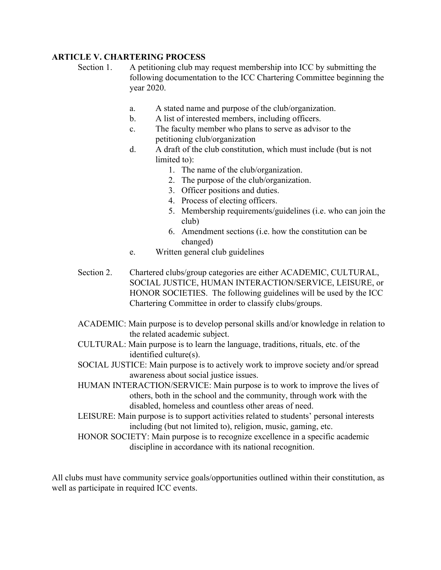## **ARTICLE V. CHARTERING PROCESS**

Section 1. A petitioning club may request membership into ICC by submitting the following documentation to the ICC Chartering Committee beginning the year 2020.

- a. A stated name and purpose of the club/organization.
- b. A list of interested members, including officers.
- c. The faculty member who plans to serve as advisor to the petitioning club/organization
- d. A draft of the club constitution, which must include (but is not limited to):
	- 1. The name of the club/organization.
	- 2. The purpose of the club/organization.
	- 3. Officer positions and duties.
	- 4. Process of electing officers.
	- 5. Membership requirements/guidelines (i.e. who can join the club)
	- 6. Amendment sections (i.e. how the constitution can be changed)
- e. Written general club guidelines
- Section 2. Chartered clubs/group categories are either ACADEMIC, CULTURAL, SOCIAL JUSTICE, HUMAN INTERACTION/SERVICE, LEISURE, or HONOR SOCIETIES. The following guidelines will be used by the ICC Chartering Committee in order to classify clubs/groups.
- ACADEMIC: Main purpose is to develop personal skills and/or knowledge in relation to the related academic subject.
- CULTURAL: Main purpose is to learn the language, traditions, rituals, etc. of the identified culture(s).
- SOCIAL JUSTICE: Main purpose is to actively work to improve society and/or spread awareness about social justice issues.
- HUMAN INTERACTION/SERVICE: Main purpose is to work to improve the lives of others, both in the school and the community, through work with the disabled, homeless and countless other areas of need.
- LEISURE: Main purpose is to support activities related to students' personal interests including (but not limited to), religion, music, gaming, etc.
- HONOR SOCIETY: Main purpose is to recognize excellence in a specific academic discipline in accordance with its national recognition.

All clubs must have community service goals/opportunities outlined within their constitution, as well as participate in required ICC events.